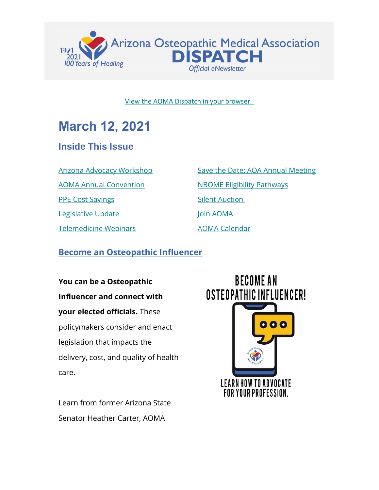

#### [View the AOMA Dispatch in your browser.](https://www.az-osteo.org/page/Dispatch)

# **March 12, 2021**

## **Inside This Issue**

[Arizona Advocacy Workshop](#page-0-0)

[AOMA Annual Convention](#page-1-0)

[PPE Cost Savings](#page-2-0)

[Legislative Update](#page-4-0)

[Telemedicine Webinars](#page-6-0)

[Save the Date: AOA Annual Meeting](#page-7-0) [NBOME Eligibility Pathways](#page-8-0) [Silent Auction](#page-9-0) [Join AOMA](http://www.az-osteo.org/Join) [AOMA Calendar](https://www.az-osteo.org/events/event_list.asp)

### <span id="page-0-0"></span>**Become an Osteopathic Influencer**

**You can be a Osteopathic Influencer and connect with your elected officials.** These policymakers consider and enact legislation that impacts the delivery, cost, and quality of health care.

Learn from former Arizona State Senator Heather Carter, AOMA

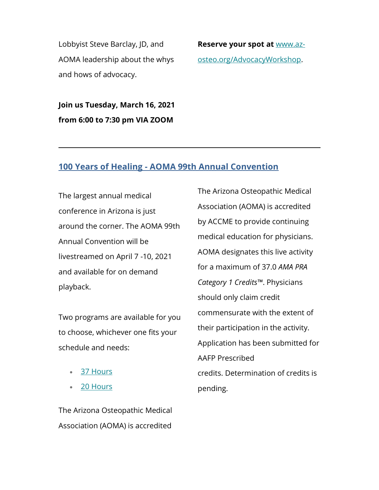Lobbyist Steve Barclay, JD, and AOMA leadership about the whys and hows of advocacy.

**Reserve your spot at** [www.az](http://www.az-osteo.org/AdvocacyWorkshop)[osteo.org/AdvocacyWorkshop.](http://www.az-osteo.org/AdvocacyWorkshop)

**Join us Tuesday, March 16, 2021 from 6:00 to 7:30 pm VIA ZOOM**

#### <span id="page-1-0"></span>**100 Years of Healing - AOMA 99th Annual Convention**

The largest annual medical conference in Arizona is just around the corner. The AOMA 99th Annual Convention will be livestreamed on April 7 -10, 2021 and available for on demand playback.

Two programs are available for you to choose, whichever one fits your schedule and needs:

- [37 Hours](https://aoma.ce21sites.com/wp-content/uploads/sites/24/2021/02/AOMA-99th-Annual-Convention-Agenda.pdf)
- [20 Hours](https://aoma.ce21sites.com/wp-content/uploads/sites/24/2021/02/AOMA-99th-Annual-Convention-Agenda-Two-Day-Program.pdf)

The Arizona Osteopathic Medical Association (AOMA) is accredited by ACCME to provide continuing medical education for physicians. AOMA designates this live activity for a maximum of 37.0 *AMA PRA Category 1 Credits™*. Physicians should only claim credit commensurate with the extent of their participation in the activity. Application has been submitted for AAFP Prescribed credits. Determination of credits is pending.

The Arizona Osteopathic Medical Association (AOMA) is accredited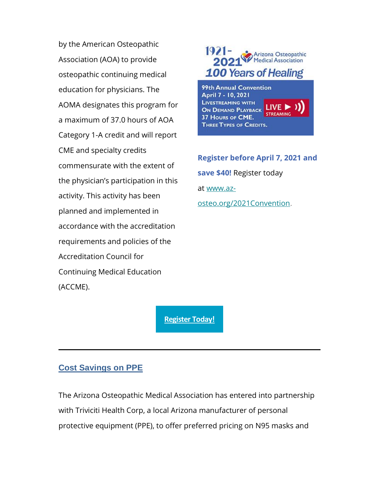by the American Osteopathic Association (AOA) to provide osteopathic continuing medical education for physicians. The AOMA designates this program for a maximum of 37.0 hours of AOA Category 1-A credit and will report CME and specialty credits commensurate with the extent of the physician's participation in this activity. This activity has been planned and implemented in accordance with the accreditation requirements and policies of the Accreditation Council for Continuing Medical Education (ACCME).



**LIVESTREAMING WITH** LIVE I ON DEMAND PLAYBACK **STREAMING** 37 HOURS OF CME. **THREE TYPES OF CREDITS.** 

**Register before April 7, 2021 and save \$40!** Register today at [www.az](https://www.az-osteo.org/2021Convention)[osteo.org/2021Convention.](https://www.az-osteo.org/2021Convention)

**[Register Today!](https://www.az-osteo.org/2021Convention)**

#### <span id="page-2-0"></span>**Cost Savings on PPE**

The Arizona Osteopathic Medical Association has entered into partnership with Triviciti Health Corp, a local Arizona manufacturer of personal protective equipment (PPE), to offer preferred pricing on N95 masks and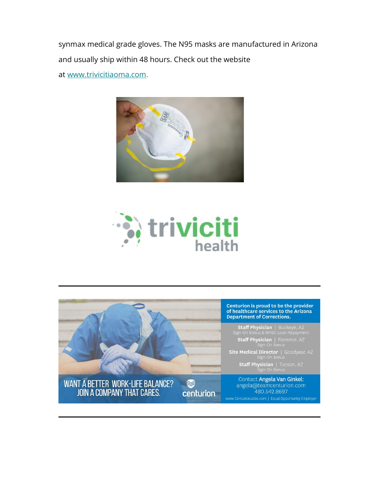synmax medical grade gloves. The N95 masks are manufactured in Arizona and usually ship within 48 hours. Check out the website at [www.trivicitiaoma.com.](http://www.trivicitiaoma.com/)





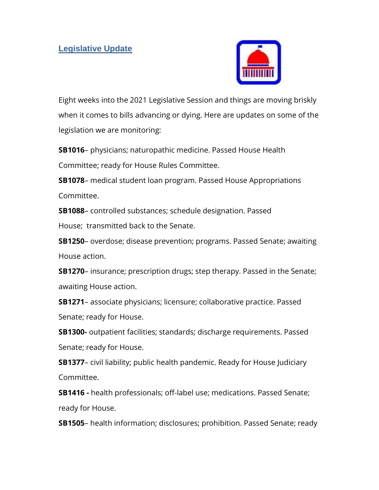

<span id="page-4-0"></span>Eight weeks into the 2021 Legislative Session and things are moving briskly when it comes to bills advancing or dying. Here are updates on some of the legislation we are monitoring:

**SB1016**– physicians; naturopathic medicine. Passed House Health Committee; ready for House Rules Committee.

**SB1078**– medical student loan program. Passed House Appropriations Committee.

**SB1088**– controlled substances; schedule designation. Passed

House; transmitted back to the Senate.

**SB1250**– overdose; disease prevention; programs. Passed Senate; awaiting House action.

**SB1270**– insurance; prescription drugs; step therapy. Passed in the Senate; awaiting House action.

**SB1271**– associate physicians; licensure; collaborative practice. Passed Senate; ready for House.

**SB1300-** outpatient facilities; standards; discharge requirements. Passed Senate; ready for House.

**SB1377**– civil liability; public health pandemic. Ready for House Judiciary Committee.

**SB1416 -** health professionals; off-label use; medications. Passed Senate; ready for House.

**SB1505**– health information; disclosures; prohibition. Passed Senate; ready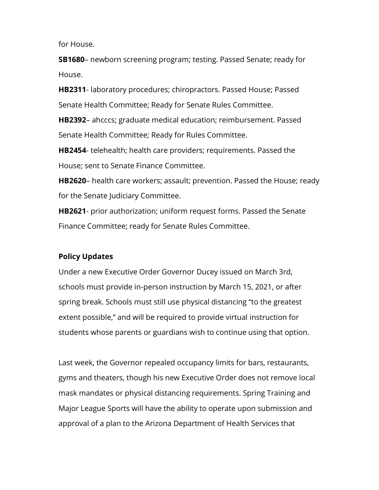for House.

**SB1680**– newborn screening program; testing. Passed Senate; ready for House.

**HB2311**- laboratory procedures; chiropractors. Passed House; Passed Senate Health Committee; Ready for Senate Rules Committee.

**HB2392**– ahcccs; graduate medical education; reimbursement. Passed Senate Health Committee; Ready for Rules Committee.

**HB2454**- telehealth; health care providers; requirements. Passed the House; sent to Senate Finance Committee.

**HB2620**– health care workers; assault; prevention. Passed the House; ready for the Senate Judiciary Committee.

**HB2621**- prior authorization; uniform request forms. Passed the Senate Finance Committee; ready for Senate Rules Committee.

#### **Policy Updates**

Under a new Executive Order Governor Ducey issued on March 3rd, schools must provide in-person instruction by March 15, 2021, or after spring break. Schools must still use physical distancing "to the greatest extent possible," and will be required to provide virtual instruction for students whose parents or guardians wish to continue using that option.

Last week, the Governor repealed occupancy limits for bars, restaurants, gyms and theaters, though his new Executive Order does not remove local mask mandates or physical distancing requirements. Spring Training and Major League Sports will have the ability to operate upon submission and approval of a plan to the Arizona Department of Health Services that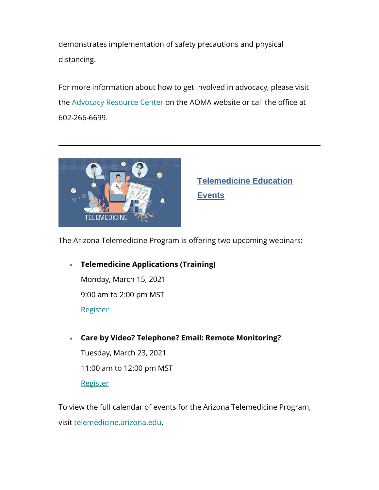demonstrates implementation of safety precautions and physical distancing.

For more information about how to get involved in advocacy, please visit the [Advocacy Resource Center](https://www.az-osteo.org/page/AdvocacyResource) on the AOMA website or call the office at 602-266-6699.



<span id="page-6-0"></span>**Telemedicine Education Events**

The Arizona Telemedicine Program is offering two upcoming webinars:

• **Telemedicine Applications (Training)** Monday, March 15, 2021 9:00 am to 2:00 pm MST **[Register](https://telemedicine.arizona.edu/training/telemedicine-applications/webinar/2021-03-15)** 

• **Care by Video? Telephone? Email: Remote Monitoring?**

Tuesday, March 23, 2021 11:00 am to 12:00 pm MST **[Register](https://telemedicine.arizona.edu/event/webinar/2021-03-23-care-video-telephone-email-text-remote-monitoring-when-offer-which-if)** 

To view the full calendar of events for the Arizona Telemedicine Program, visit [telemedicine.arizona.edu.](https://telemedicine.arizona.edu/)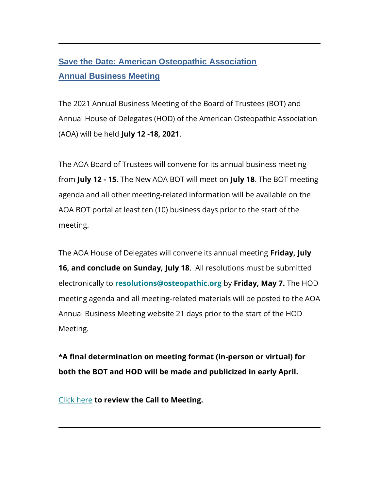## <span id="page-7-0"></span>**Save the Date: American Osteopathic Association Annual Business Meeting**

The 2021 Annual Business Meeting of the Board of Trustees (BOT) and Annual House of Delegates (HOD) of the American Osteopathic Association (AOA) will be held **July 12 -18, 2021**.

The AOA Board of Trustees will convene for its annual business meeting from **July 12 - 15**. The New AOA BOT will meet on **July 18**. The BOT meeting agenda and all other meeting-related information will be available on the AOA BOT portal at least ten (10) business days prior to the start of the meeting.

The AOA House of Delegates will convene its annual meeting **Friday, July 16, and conclude on Sunday, July 18**. All resolutions must be submitted electronically to **[resolutions@osteopathic.org](mailto:resolutions@osteopathic.org)** by **Friday, May 7.** The HOD meeting agenda and all meeting-related materials will be posted to the AOA Annual Business Meeting website 21 days prior to the start of the HOD Meeting.

**\*A final determination on meeting format (in-person or virtual) for both the BOT and HOD will be made and publicized in early April.**

[Click here](http://amorassoc.informz.net/z/cjUucD9taT04MjkyMzc0JnA9MSZ1PTk0MDUzMzIyNSZsaT03MDMyNzIzOA/index.html) **to review the Call to Meeting.**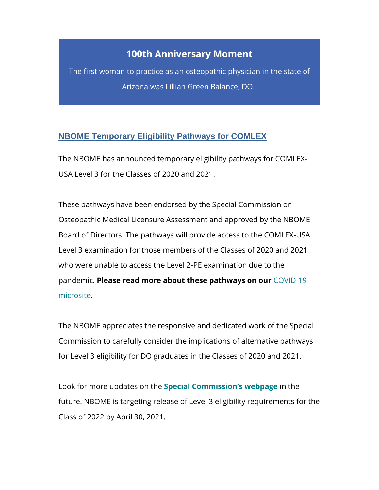## **100th Anniversary Moment**

The first woman to practice as an osteopathic physician in the state of Arizona was Lillian Green Balance, DO.

#### <span id="page-8-0"></span>**NBOME Temporary Eligibility Pathways for COMLEX**

The NBOME has announced temporary eligibility pathways for COMLEX-USA Level 3 for the Classes of 2020 and 2021.

These pathways have been endorsed by the Special Commission on Osteopathic Medical Licensure Assessment and approved by the NBOME Board of Directors. The pathways will provide access to the COMLEX-USA Level 3 examination for those members of the Classes of 2020 and 2021 who were unable to access the Level 2-PE examination due to the pandemic. **Please read more about these pathways on our** [COVID-19](https://www.nbome.org/covid-19-resources/comlex-usa-level-2-pe-covid-19-update/)  [microsite.](https://www.nbome.org/covid-19-resources/comlex-usa-level-2-pe-covid-19-update/)

The NBOME appreciates the responsive and dedicated work of the Special Commission to carefully consider the implications of alternative pathways for Level 3 eligibility for DO graduates in the Classes of 2020 and 2021.

Look for more updates on the **Special [Commission's webpage](https://www.nbome.org/resources/special-commission-on-osteopathic-medical-licensure-assessment/)** in the future. NBOME is targeting release of Level 3 eligibility requirements for the Class of 2022 by April 30, 2021.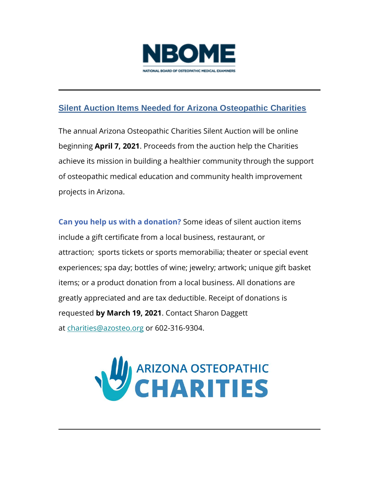

## <span id="page-9-0"></span>**Silent Auction Items Needed for Arizona Osteopathic Charities**

The annual Arizona Osteopathic Charities Silent Auction will be online beginning **April 7, 2021**. Proceeds from the auction help the Charities achieve its mission in building a healthier community through the support of osteopathic medical education and community health improvement projects in Arizona.

**Can you help us with a donation?** Some ideas of silent auction items include a gift certificate from a local business, restaurant, or attraction; sports tickets or sports memorabilia; theater or special event experiences; spa day; bottles of wine; jewelry; artwork; unique gift basket items; or a product donation from a local business. All donations are greatly appreciated and are tax deductible. Receipt of donations is requested **by March 19, 2021**. Contact Sharon Daggett at [charities@azosteo.org](mailto:charities@azosteo.org) or 602-316-9304.

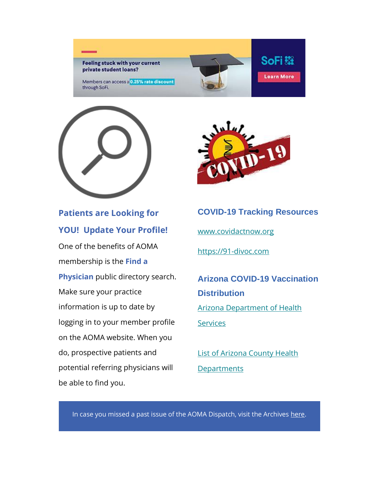**Feeling stuck with your current** private student loans?

Members can access a 0.25% rate discount through SoFi.



## **Patients are Looking for YOU! Update Your Profile!**

One of the benefits of AOMA membership is the **Find a Physician** public directory search. Make sure your practice information is up to date by logging in to your member profile on the AOMA website. When you do, prospective patients and potential referring physicians will be able to find you.



## **COVID-19 Tracking Resources**

**SoFi 热** 

**Learn More** 

[www.covidactnow.org](http://www.covidactnow.org/)

[https://91-divoc.com](https://91-divoc.com/)

**Arizona COVID-19 Vaccination Distribution** [Arizona Department of Health](https://azdhs.gov/preparedness/epidemiology-disease-control/infectious-disease-epidemiology/index.php#novel-coronavirus-find-vaccine)  **[Services](https://azdhs.gov/preparedness/epidemiology-disease-control/infectious-disease-epidemiology/index.php#novel-coronavirus-find-vaccine)** 

[List of Arizona County Health](https://www.az-osteo.org/resource/resmgr/docs/Arizona_Counties__Public_He.docx)  **[Departments](https://www.az-osteo.org/resource/resmgr/docs/Arizona_Counties__Public_He.docx)** 

In case you missed a past issue of the AOMA Dispatch, visit the Archives [here.](https://www.az-osteo.org/page/DispatchArchive2020)